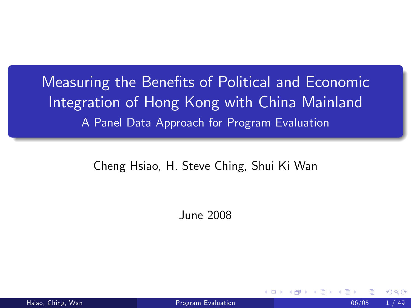Measuring the Benefits of Political and Economic Integration of Hong Kong with China Mainland A Panel Data Approach for Program Evaluation

#### Cheng Hsiao, H. Steve Ching, Shui Ki Wan

<span id="page-0-0"></span>June 2008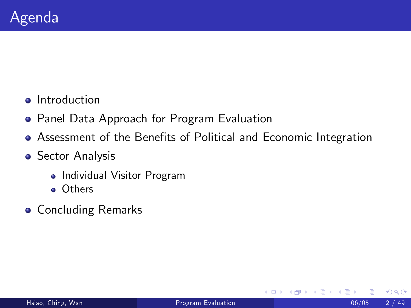- **o** Introduction
- **Panel Data Approach for Program Evaluation**
- Assessment of the Benefits of Political and Economic Integration
- **Sector Analysis** 
	- Individual Visitor Program
	- Others
- **•** Concluding Remarks

4 0 8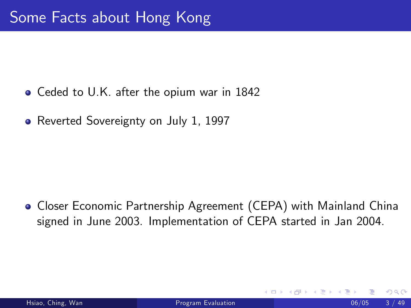- Ceded to U.K. after the opium war in 1842
- Reverted Sovereignty on July 1, 1997

**• Closer Economic Partnership Agreement (CEPA) with Mainland China** signed in June 2003. Implementation of CEPA started in Jan 2004.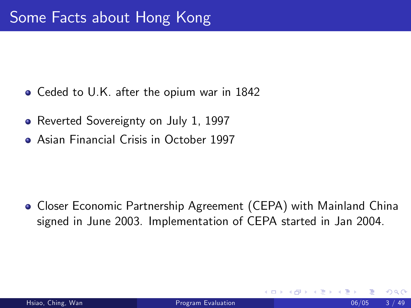- Ceded to U.K. after the opium war in 1842
- Reverted Sovereignty on July 1, 1997
- Asian Financial Crisis in October 1997

**• Closer Economic Partnership Agreement (CEPA) with Mainland China** signed in June 2003. Implementation of CEPA started in Jan 2004.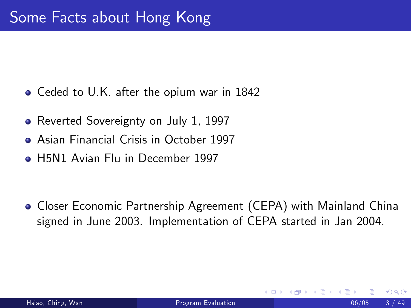- Ceded to U.K. after the opium war in 1842
- Reverted Sovereignty on July 1, 1997
- Asian Financial Crisis in October 1997
- H5N1 Avian Flu in December 1997

**• Closer Economic Partnership Agreement (CEPA) with Mainland China** signed in June 2003. Implementation of CEPA started in Jan 2004.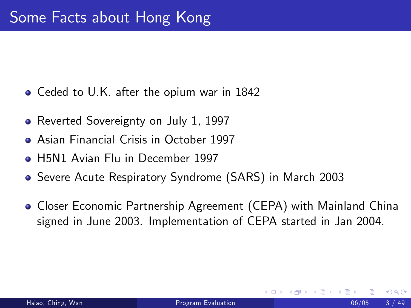- Ceded to U.K. after the opium war in 1842
- Reverted Sovereignty on July 1, 1997
- Asian Financial Crisis in October 1997
- **H5N1 Avian Flu in December 1997**
- Severe Acute Respiratory Syndrome (SARS) in March 2003
- **Closer Economic Partnership Agreement (CEPA) with Mainland China** signed in June 2003. Implementation of CEPA started in Jan 2004.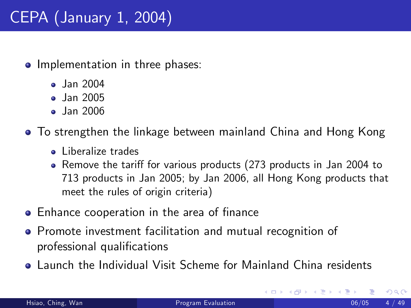# CEPA (January 1, 2004)

- Implementation in three phases:
	- **•** Jan 2004
	- **Jan 2005**
	- **Jan 2006**
- To strengthen the linkage between mainland China and Hong Kong
	- Liberalize trades
	- Remove the tariff for various products (273 products in Jan 2004 to 713 products in Jan 2005; by Jan 2006, all Hong Kong products that meet the rules of origin criteria)
- Enhance cooperation in the area of finance
- Promote investment facilitation and mutual recognition of professional qualifications
- Launch the Individual Visit Scheme for Mainland China residents

4 0 8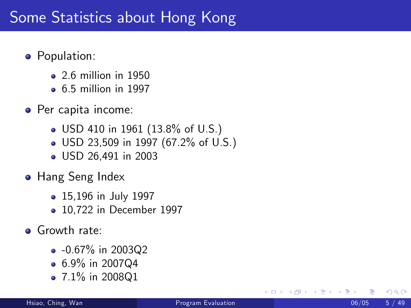## Some Statistics about Hong Kong

- **•** Population:
	- 2.6 million in 1950
	- 6.5 million in 1997
- Per capita income:
	- USD 410 in 1961 (13.8% of U.S.)
	- USD 23,509 in 1997 (67.2% of U.S.)
	- USD 26,491 in 2003
- **Hang Seng Index** 
	- 15,196 in July 1997
	- 10,722 in December 1997
- **•** Growth rate:
	- $-0.67\%$  in 2003Q2
	- $\bullet$  6.9% in 2007Q4
	- $\bullet$  7.1% in 2008Q1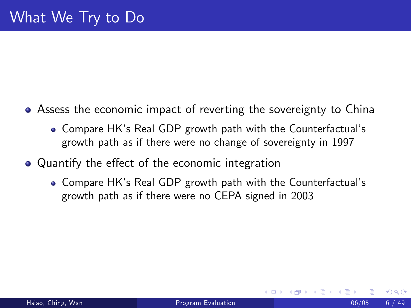- Assess the economic impact of reverting the sovereignty to China
	- Compare HK's Real GDP growth path with the Counterfactual's growth path as if there were no change of sovereignty in 1997
- Quantify the effect of the economic integration
	- Compare HK's Real GDP growth path with the Counterfactual's growth path as if there were no CEPA signed in 2003

つひひ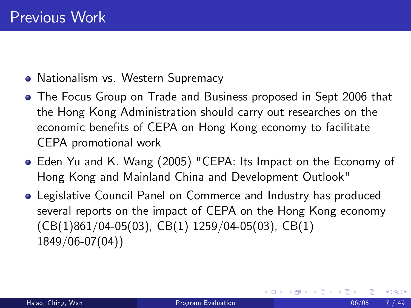- Nationalism vs. Western Supremacy
- The Focus Group on Trade and Business proposed in Sept 2006 that the Hong Kong Administration should carry out researches on the economic benefits of CEPA on Hong Kong economy to facilitate CEPA promotional work
- Eden Yu and K. Wang (2005) "CEPA: Its Impact on the Economy of Hong Kong and Mainland China and Development Outlook"
- Legislative Council Panel on Commerce and Industry has produced several reports on the impact of CEPA on the Hong Kong economy (CB(1)861/04-05(03), CB(1) 1259/04-05(03), CB(1) 1849/06-07(04))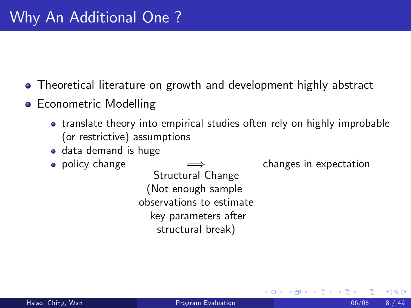Theoretical literature on growth and development highly abstract

- Econometric Modelling
	- translate theory into empirical studies often rely on highly improbable (or restrictive) assumptions
	- **o** data demand is huge
	- $\bullet$  policy change

Structural Change (Not enough sample observations to estimate key parameters after structural break)

changes in expectation

4 0 8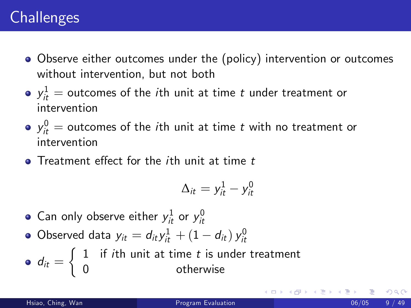### **Challenges**

- Observe either outcomes under the (policy) intervention or outcomes without intervention, but not both
- $y_{it}^1$   $=$  outcomes of the  $i$ th unit at time  $t$  under treatment or intervention
- $y_{it}^0$   $=$  outcomes of the  $i$ th unit at time  $t$  with no treatment or intervention
- $\bullet$  Treatment effect for the *i*th unit at time  $t$

$$
\Delta_{it}=y_{it}^1-y_{it}^0
$$

- Can only observe either  $y_{it}^1$  or  $y_{it}^0$
- Observed data  $y_{it} = d_{it} y_{it}^1 + (1 d_{it}) y_{it}^0$
- $d_{it} =$  $\int 1$  if *i*th unit at time t is under treatment 0 otherwise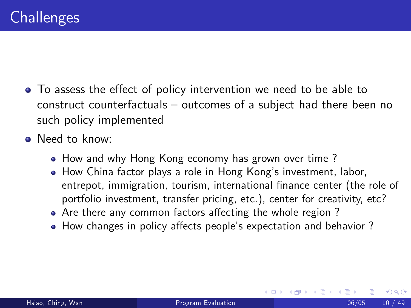- To assess the effect of policy intervention we need to be able to construct counterfactuals  $-$  outcomes of a subject had there been no such policy implemented
- Need to know:
	- How and why Hong Kong economy has grown over time ?
	- How China factor plays a role in Hong Kongís investment, labor, entrepot, immigration, tourism, international finance center (the role of portfolio investment, transfer pricing, etc.), center for creativity, etc?

4 0 8

- Are there any common factors affecting the whole region?
- How changes in policy affects people's expectation and behavior?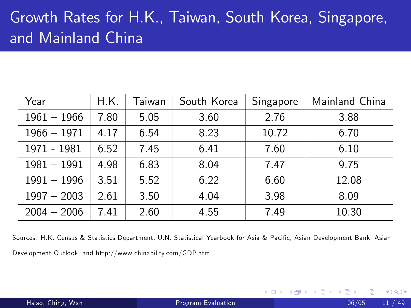# Growth Rates for H.K., Taiwan, South Korea, Singapore, and Mainland China

| Year          | H.K. | Taiwan | South Korea | Singapore | Mainland China |
|---------------|------|--------|-------------|-----------|----------------|
| $1961 - 1966$ | 7.80 | 5.05   | 3.60        | 2.76      | 3.88           |
| $1966 - 1971$ | 4.17 | 6.54   | 8.23        | 10.72     | 6.70           |
| 1971 - 1981   | 6.52 | 7.45   | 6.41        | 7.60      | 6.10           |
| $1981 - 1991$ | 4.98 | 6.83   | 8.04        | 7.47      | 9.75           |
| $1991 - 1996$ | 3.51 | 5.52   | 6.22        | 6.60      | 12.08          |
| $1997 - 2003$ | 2.61 | 3.50   | 4.04        | 3.98      | 8.09           |
| $2004 - 2006$ | 7.41 | 2.60   | 4.55        | 7.49      | 10.30          |

Sources: H.K. Census & Statistics Department, U.N. Statistical Yearbook for Asia & Pacific, Asian Development Bank, Asian Development Outlook, and http://www.chinability.com/GDP.htm

4 D F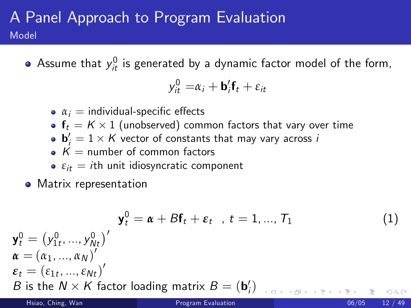#### A Panel Approach to Program Evaluation Model

Assume that  $y_{it}^0$  is generated by a dynamic factor model of the form,

$$
y_{it}^0 = \alpha_i + \mathbf{b}_i' \mathbf{f}_t + \varepsilon_{it}
$$

- $\alpha_i$  = individual-specific effects
- $\mathbf{f}_t = K \times 1$  (unobserved) common factors that vary over time
- $\mathbf{b}'_i = 1 \times K$  vector of constants that may vary across i
- $K =$  number of common factors
- $\epsilon_{it} = i$ th unit idiosyncratic component
- **•** Matrix representation

$$
\mathbf{y}_t^0 = (\mathbf{y}_{1t}^0, ..., \mathbf{y}_{Nt}^0)'
$$
\n
$$
\mathbf{a} = (\alpha_1, ..., \alpha_N)'
$$
\n
$$
\mathbf{a} = (\alpha_1, ..., \alpha_N)'
$$
\n
$$
\mathbf{b} \text{ is the } N \times K \text{ factor loading matrix } B = (\mathbf{b}_t')_{t \in [0, 1], \forall t \in [0, 1], \forall t \in [N], \forall t \in [N], \forall t \in [N], \forall t \in [N], \forall t \in [N], \forall t \in [N], \forall t \in [N], \forall t \in [N], \forall t \in [N], \forall t \in [N], \forall t \in [N], \forall t \in [N], \forall t \in [N], \forall t \in [N], \forall t \in [N], \forall t \in [N], \forall t \in [N], \forall t \in [N], \forall t \in [N], \forall t \in [N], \forall t \in [N], \forall t \in [N], \forall t \in [N], \forall t \in [N], \forall t \in [N], \forall t \in [N], \forall t \in [N], \forall t \in [N], \forall t \in [N], \forall t \in [N], \forall t \in [N], \forall t \in [N], \forall t \in [N], \forall t \in [N], \forall t \in [N], \forall t \in [N], \forall t \in [N], \forall t \in [N], \forall t \in [N], \forall t \in [N], \forall t \in [N], \forall t \in [N], \forall t \in [N], \forall t \in [N], \forall t \in [N], \forall t \in [N], \forall t \in [N], \forall t \in [N], \forall t \in [N], \forall t \in [N], \forall t \in [N], \forall t \in [N], \forall t \in [N], \forall t \in [N], \forall t \in [N], \forall t \in [N], \forall t \in [N], \forall t \in [N], \forall t \in [N], \forall t \in [N], \forall t \in [N], \forall t \in [N], \forall t \in [N], \forall t \in [N], \forall t \in [N], \forall t \in [N], \forall t \in [N], \forall t \in [N], \forall t \in [N], \forall t \in [N], \forall t \in [N], \forall t \in [N], \forall t \in [N], \forall t \in [N], \forall t \in [N], \forall t \in [N], \forall
$$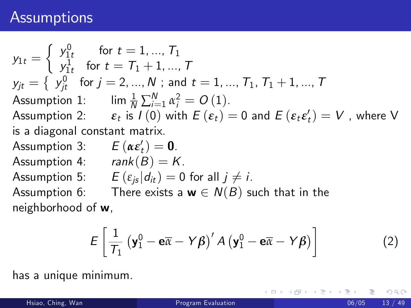#### **Assumptions**

 $y_{1t} =$  $\left\{\begin{array}{ll} y_{1t}^0 & \textrm{for}\,\, t=1,...,\,T_1 \end{array}\right.$  $y_{1t}^1 \quad \text{for} \, \, t = \mathcal{T}_1 + 1, ..., \, \mathcal{T}_t$  $\mathsf{y}_{jt} = \left\{\begin{array}{l l} \mathsf{y}_{jt}^0 & \text{for } j = 2,...,N \text{ ; and } t = 1,...,T_1,\, T_1+1,...,T_n \end{array}\right.$ Assumption 1: lim  $\frac{1}{N}\sum_{i=1}^{N} \alpha_i^2 = O(1)$ .  $\textsf{Assumption~2:} \qquad \pmb{\varepsilon}_{t} \text{ is } \textit{I}\left(0\right) \text{ with } \textit{E}\left(\pmb{\varepsilon}_{t}\right)=0 \text{ and } \textit{E}\left(\pmb{\varepsilon}_{t} \pmb{\varepsilon}_{t}'\right)=V \text{ , where } V$ is a diagonal constant matrix. Assumption 3:  $E(\boldsymbol{\alpha} \boldsymbol{\varepsilon}'_t) = \boldsymbol{0}$ . Assumption 4:  $rank(B) = K$ . Assumption 5:  $E(\varepsilon_{i} | d_{it}) = 0$  for all  $i \neq i$ . Assumption 6: There exists a  $w \in N(B)$  such that in the neighborhood of w,

$$
E\left[\frac{1}{\mathcal{T}_1}\left(\mathbf{y}_1^0-\mathbf{e}\overline{\alpha}-Y\boldsymbol{\beta}\right)'A\left(\mathbf{y}_1^0-\mathbf{e}\overline{\alpha}-Y\boldsymbol{\beta}\right)\right]
$$
 (2)

has a unique minimum.

K ロ ▶ K @ ▶ K 경 ▶ K 경 ▶ │ 경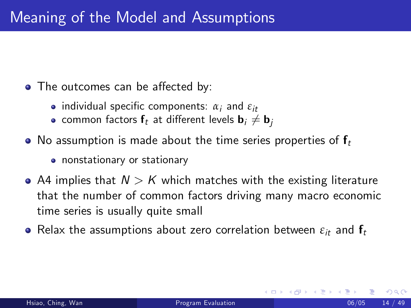- The outcomes can be affected by:
	- **•** individual specific components:  $\alpha_i$  and  $\varepsilon_{it}$
	- common factors  $f_t$  at different levels  $\mathbf{b}_i \neq \mathbf{b}_i$
- No assumption is made about the time series properties of  $f_t$ 
	- nonstationary or stationary
- A4 implies that  $N > K$  which matches with the existing literature that the number of common factors driving many macro economic time series is usually quite small
- **•** Relax the assumptions about zero correlation between  $\varepsilon_{it}$  and  $f_t$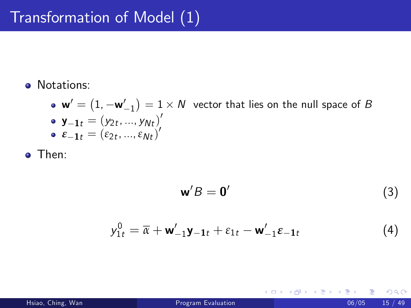**•** Notations:

 ${\sf w}'=\left(1, -{\sf w}'_{-1}\right)=1\times N$  vector that lies on the null space of  $B$  $\mathbf{y_{-1}}_t = (y_{2t}, ..., y_{Nt})'$  $\varepsilon_{-1t} = (\varepsilon_{2t},...,\varepsilon_{Nt})'$ 

Then:

$$
\mathbf{w}'B = \mathbf{0}'\tag{3}
$$

$$
y_{1t}^0 = \overline{\alpha} + \mathbf{w}_{-1}'\mathbf{y}_{-1t} + \varepsilon_{1t} - \mathbf{w}_{-1}'\varepsilon_{-1t}
$$
 (4)

4 0 8

<span id="page-17-0"></span>→ < 3H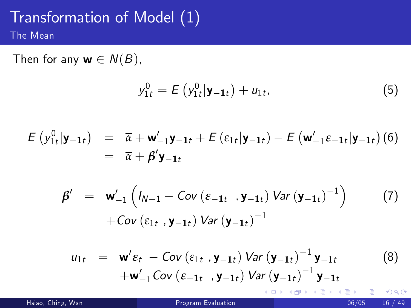#### Transformation of Model (1) The Mean

Then for any  $w \in N(B)$ ,

$$
y_{1t}^{0} = E\left(y_{1t}^{0}|\mathbf{y}_{-1t}\right) + u_{1t},\tag{5}
$$

$$
E(y_{1t}^{0}|\mathbf{y}_{-1t}) = \overline{\alpha} + \mathbf{w}_{-1}'\mathbf{y}_{-1t} + E(\varepsilon_{1t}|\mathbf{y}_{-1t}) - E(\mathbf{w}_{-1}'\varepsilon_{-1t}|\mathbf{y}_{-1t})
$$
(6)  
=  $\overline{\alpha} + \beta'\mathbf{y}_{-1t}$ 

$$
\beta' = \mathbf{w}'_{-1} \left( I_{N-1} - Cov \left( \varepsilon_{-1t} , \mathbf{y}_{-1t} \right) Var \left( \mathbf{y}_{-1t} \right)^{-1} \right) \tag{7}
$$
  
+  $Cov \left( \varepsilon_{1t} , \mathbf{y}_{-1t} \right) Var \left( \mathbf{y}_{-1t} \right)^{-1}$ 

$$
u_{1t} = \mathbf{w}'\varepsilon_t - \text{Cov}(\varepsilon_{1t}, \mathbf{y}_{-1t}) \text{Var}(\mathbf{y}_{-1t})^{-1} \mathbf{y}_{-1t}
$$
(8)  
+
$$
\mathbf{w}'_{-1} \text{Cov}(\varepsilon_{-1t}, \mathbf{y}_{-1t}) \text{Var}(\mathbf{y}_{-1t})^{-1} \mathbf{y}_{-1t}
$$

Hsiao, Ching, Wan (2008) 2012 16 / 2012 17:30 Program Evaluation 18:30 16 / 2012 17:30 17:49

<span id="page-18-1"></span><span id="page-18-0"></span>э

メロト メ都 トメ ヨ トメ ヨ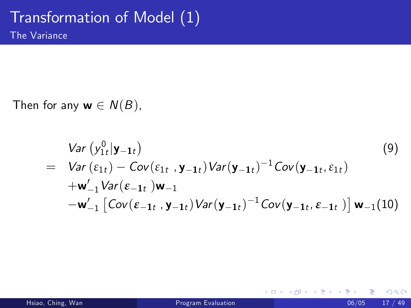Then for any  $w \in N(B)$ ,

$$
Var (y_{1t}^{0}|\mathbf{y}_{-1t})
$$
\n
$$
= Var (\varepsilon_{1t}) - Cov(\varepsilon_{1t} , \mathbf{y}_{-1t}) Var(\mathbf{y}_{-1t})^{-1} Cov(\mathbf{y}_{-1t}, \varepsilon_{1t})
$$
\n
$$
+ \mathbf{w}_{-1}' Var(\varepsilon_{-1t}) \mathbf{w}_{-1}
$$
\n
$$
- \mathbf{w}_{-1}' [Cov(\varepsilon_{-1t} , \mathbf{y}_{-1t}) Var(\mathbf{y}_{-1t})^{-1} Cov(\mathbf{y}_{-1t}, \varepsilon_{-1t})] \mathbf{w}_{-1}(10)
$$

**∢ ロ ▶ イ 伊 ▶** 

<span id="page-19-0"></span>14 E X 4 E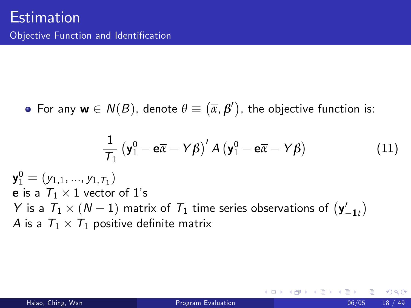For any  $w \in N(B)$ , denote  $\theta \equiv (\overline{\alpha}, \beta')$ , the objective function is:

<span id="page-20-0"></span>
$$
\frac{1}{\mathcal{T}_1} \left( \mathbf{y}_1^0 - \mathbf{e}\overline{\alpha} - Y\beta \right)' A \left( \mathbf{y}_1^0 - \mathbf{e}\overline{\alpha} - Y\beta \right) \tag{11}
$$

 ${\sf y}_1^0=(y_{1,1},...,y_{1,\,\overline{\scriptscriptstyle{\boldsymbol{1}}_{1}}})$ **e** is a  $T_1 \times 1$  vector of 1's Y is a  $T_1 \times (N-1)$  matrix of  $T_1$  time series observations of  $(y'_{-1:t})$  $\lambda$  $A$  is a  $\mathcal{T}_1 \times \mathcal{T}_1$  positive definite matrix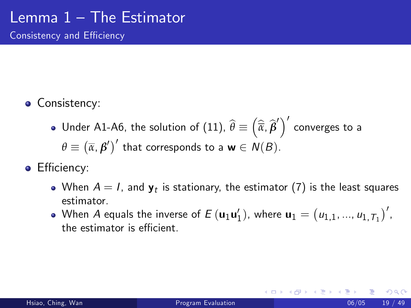Consistency and Efficiency

- **Consistency:** 
	- Under A1-A6, the solution of [\(11\)](#page-20-0),  $\widehat{\theta}\equiv\left(\widehat{\overline{a}},\widehat{\beta}'\right)^\prime$  converges to a  $\theta \equiv (\overline{\alpha}, \beta')'$  that corresponds to a **w**  $\in N(B)$ .
- Efficiency:
	- When  $A=l$ , and  $\mathbf{y}_t$  is stationary, the estimator  $(7)$  is the least squares estimator.
	- When A equals the inverse of  $E\left(\mathbf{u}_1\mathbf{u}'_1\right)$ , where  $\mathbf{u}_1 = \left(u_{1,1},...,u_{1,\mathcal{T}_1}\right)',$ the estimator is efficient.

4 D F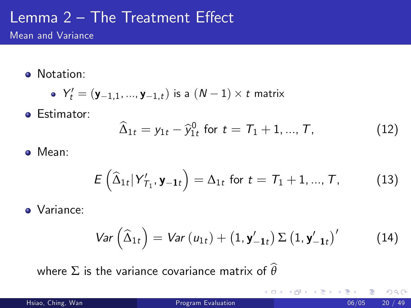# Lemma  $2$  – The Treatment Effect

Mean and Variance

• Notation:

• 
$$
Y'_t = (\mathbf{y}_{-1,1},...,\mathbf{y}_{-1,t})
$$
 is a  $(N-1) \times t$  matrix

**•** Estimator:

$$
\widehat{\Delta}_{1t} = y_{1t} - \widehat{y}_{1t}^0 \text{ for } t = T_1 + 1, ..., T,
$$
 (12)

#### Mean:

$$
E\left(\widehat{\Delta}_{1t}|\mathsf{Y}_{T_1}^{\prime},\mathbf{y}_{-1t}\right)=\Delta_{1t}\text{ for }t=\mathsf{T}_1+1,...,\mathsf{T},\qquad(13)
$$

Variance:

$$
Var\left(\widehat{\Delta}_{1t}\right) = Var\left(u_{1t}\right) + \left(1, \mathbf{y}_{-1t}^{\prime}\right) \Sigma\left(1, \mathbf{y}_{-1t}^{\prime}\right)^{\prime} \tag{14}
$$

4 0 8

where  $\Sigma$  is the variance covariance matrix of  $\widehat{\theta}$ 

 $-4$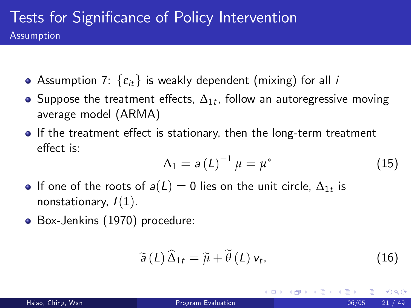- Assumption 7:  $\{\varepsilon_{it}\}$  is weakly dependent (mixing) for all *i*
- Suppose the treatment effects,  $\Delta_{1t}$ , follow an autoregressive moving average model (ARMA)
- If the treatment effect is stationary, then the long-term treatment effect is:

$$
\Delta_1 = a\left(L\right)^{-1} \mu = \mu^* \tag{15}
$$

- If one of the roots of  $a(L)=0$  lies on the unit circle,  $\Delta_{1t}$  is nonstationary,  $I(1)$ .
- Box-Jenkins (1970) procedure:

$$
\widetilde{a}(L)\,\widehat{\Delta}_{1t}=\widetilde{\mu}+\widetilde{\theta}\,(L)\,\nu_t,\qquad\qquad(16)
$$

4 0 8

つへへ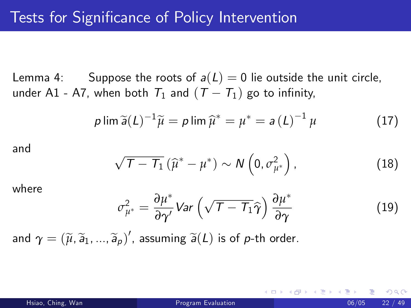Lemma 4: Suppose the roots of  $a(L) = 0$  lie outside the unit circle, under A1 - A7, when both  $T_1$  and  $(T - T_1)$  go to infinity,

$$
p \lim \widetilde{a}(L)^{-1} \widetilde{\mu} = p \lim \widehat{\mu}^* = \mu^* = a(L)^{-1} \mu \qquad (17)
$$

and

$$
\sqrt{\mathcal{T} - \mathcal{T}_1} \left( \widehat{\mu}^* - \mu^* \right) \sim N \left( 0, \sigma_{\mu^*}^2 \right), \tag{18}
$$

where

$$
\sigma_{\mu^*}^2 = \frac{\partial \mu^*}{\partial \gamma'} Var \left( \sqrt{\mathcal{T} - \mathcal{T}_1} \hat{\gamma} \right) \frac{\partial \mu^*}{\partial \gamma}
$$
 (19)

and  $\gamma = (\widetilde{\mu}, \widetilde{\mathsf{a}}_1, ..., \widetilde{\mathsf{a}}_p)'$ , assuming  $\widetilde{\mathsf{a}}(L)$  is of  $p$ -th order.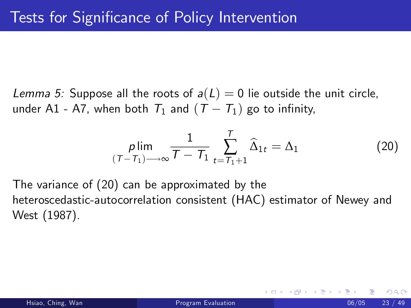Lemma 5: Suppose all the roots of  $a(L) = 0$  lie outside the unit circle, under A1 - A7, when both  $T_1$  and  $(T - T_1)$  go to infinity,

<span id="page-25-0"></span>
$$
\min_{(T-T_1)\longrightarrow\infty}\frac{1}{T-T_1}\sum_{t=T_1+1}^T\widehat{\Delta}_{1t}=\Delta_1\tag{20}
$$

The variance of [\(20\)](#page-25-0) can be approximated by the heteroscedastic-autocorrelation consistent (HAC) estimator of Newey and West (1987).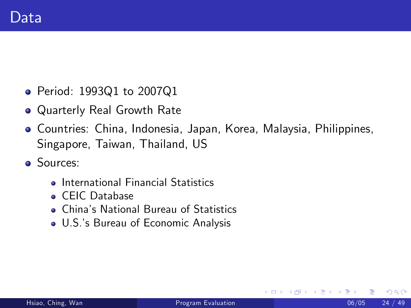- Period: 1993Q1 to 2007Q1
- Quarterly Real Growth Rate
- Countries: China, Indonesia, Japan, Korea, Malaysia, Philippines, Singapore, Taiwan, Thailand, US
- **•** Sources:
	- **.** International Financial Statistics
	- **CEIC** Database
	- Chinaís National Bureau of Statistics
	- U.S.ís Bureau of Economic Analysis

 $\leftarrow$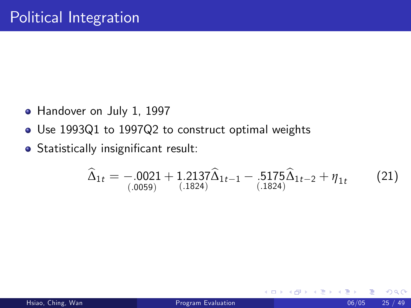- Handover on July 1, 1997
- Use 1993Q1 to 1997Q2 to construct optimal weights
- Statistically insignificant result:

$$
\widehat{\Delta}_{1t} = -0.0021 + 1.2137 \widehat{\Delta}_{1t-1} - 0.5175 \widehat{\Delta}_{1t-2} + \eta_{1t} \tag{21}
$$

4 0 8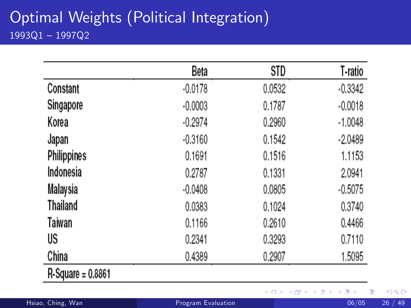#### Optimal Weights (Political Integration)  $1993Q1 - 1997Q2$

|                   | Beta      | STD    | T-ratio   |
|-------------------|-----------|--------|-----------|
| Constant          | $-0.0178$ | 0.0532 | $-0.3342$ |
| Singapore         | $-0.0003$ | 0.1787 | $-0.0018$ |
| Korea             | $-0.2974$ | 0.2960 | $-1.0048$ |
| Japan             | $-0.3160$ | 0.1542 | $-2.0489$ |
| Philippines       | 0.1691    | 0.1516 | 1.1153    |
| Indonesia         | 0.2787    | 0.1331 | 2.0941    |
| Malaysia          | $-0.0408$ | 0.0805 | $-0.5075$ |
| Thailand          | 0.0383    | 0.1024 | 0.3740    |
| Taiwan            | 0.1166    | 0.2610 | 0.4466    |
| US                | 0.2341    | 0.3293 | 0.7110    |
| China             | 0.4389    | 0.2907 | 1.5095    |
| R-Square = 0.8861 |           |        |           |

メロメ メ都 メメ きょくきょ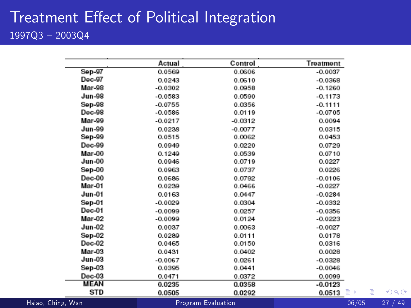#### Treatment Effect of Political Integration  $1997Q3 - 2003Q4$

| Actual    | Control   | Treatment          |       |          |
|-----------|-----------|--------------------|-------|----------|
| 0.0569    | 0.0606    | $-0.0037$          |       |          |
| 0.0243    | 0.0610    | $-0.0368$          |       |          |
| $-0.0302$ | 0.0958    | $-0.1260$          |       |          |
| $-0.0583$ | 0.0590    | $-0.1173$          |       |          |
| $-0.0755$ | 0.0356    | $-0.1111$          |       |          |
| $-0.0586$ | 0.0119    | $-0.0705$          |       |          |
| $-0.0217$ | $-0.0312$ | 0.0094             |       |          |
| 0.0238    | $-0.0077$ | 0.0315             |       |          |
| 0.0515    | 0.0062    | 0.0453             |       |          |
| 0.0949    | 0.0220    | 0.0729             |       |          |
| 0.1249    | 0.0539    | 0.0710             |       |          |
| 0.0946    | 0.0719    | 0.0227             |       |          |
| 0.0963    | 0.0737    | 0.0226             |       |          |
| 0.0686    | 0.0792    | $-0.0106$          |       |          |
| 0.0239    | 0.0466    | $-0.0227$          |       |          |
| 0.0163    | 0.0447    | $-0.0284$          |       |          |
| $-0.0029$ | 0.0304    | $-0.0332$          |       |          |
| $-0.0099$ | 0.0257    | $-0.0356$          |       |          |
| $-0.0099$ | 0.0124    | $-0.0223$          |       |          |
| 0.0037    | 0.0063    | $-0.0027$          |       |          |
| 0.0289    | 0.0111    | 0.0178             |       |          |
| 0.0465    | 0.0150    | 0.0316             |       |          |
| 0.0431    | 0.0402    | 0.0028             |       |          |
| $-0.0067$ | 0.0261    | $-0.0328$          |       |          |
| 0.0395    | 0.0441    | $-0.0046$          |       |          |
| 0.0471    | 0.0372    | 0.0099             |       |          |
| 0.0235    | 0.0358    | $-0.0123$          |       |          |
| 0.0505    | 0.0292    | 0.0513             | 重     | つへく      |
|           |           |                    | 06/05 | 49<br>27 |
|           |           | Program Evaluation |       | 目り       |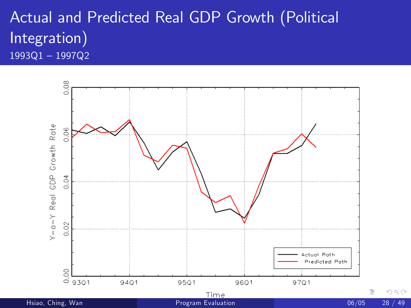#### Actual and Predicted Real GDP Growth (Political Integration)  $1993Q1 - 1997Q2$

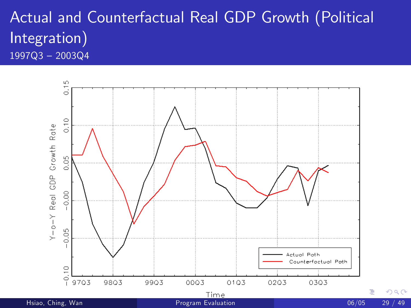## Actual and Counterfactual Real GDP Growth (Political Integration)  $1997Q3 - 2003Q4$

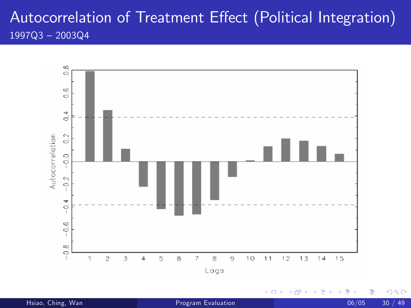#### Autocorrelation of Treatment Effect (Political Integration)  $1997Q3 - 2003Q4$

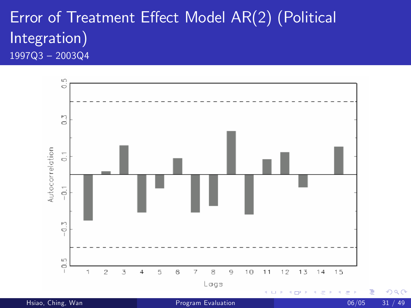#### Error of Treatment Effect Model AR(2) (Political Integration)  $1997Q3 - 2003Q4$

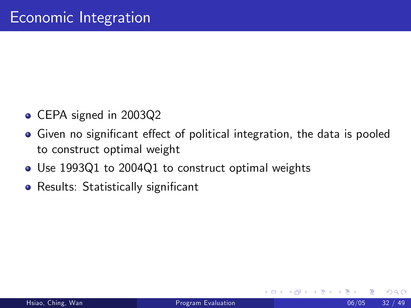- CEPA signed in 2003Q2
- Given no significant effect of political integration, the data is pooled to construct optimal weight
- Use 1993Q1 to 2004Q1 to construct optimal weights
- Results: Statistically significant

4 0 8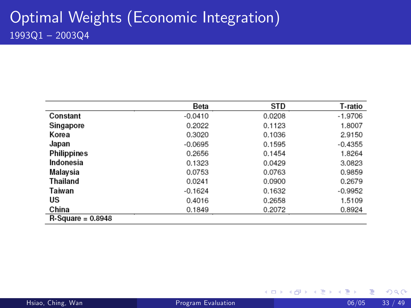|                     | Beta      | STD    | T-ratio   |
|---------------------|-----------|--------|-----------|
| Constant            | $-0.0410$ | 0.0208 | $-1.9706$ |
| Singapore           | 0.2022    | 0.1123 | 1.8007    |
| Korea               | 0.3020    | 0.1036 | 2.9150    |
| Japan               | $-0.0695$ | 0.1595 | $-0.4355$ |
| <b>Philippines</b>  | 0.2656    | 0.1454 | 1.8264    |
| Indonesia           | 0.1323    | 0.0429 | 3.0823    |
| Malaysia            | 0.0753    | 0.0763 | 0.9859    |
| Thailand            | 0.0241    | 0.0900 | 0.2679    |
| Taiwan              | $-0.1624$ | 0.1632 | $-0.9952$ |
| US                  | 0.4016    | 0.2658 | 1.5109    |
| China               | 0.1849    | 0.2072 | 0.8924    |
| $R-Square = 0.8948$ |           |        |           |

メロト メ都 トメ ヨ トメ ヨ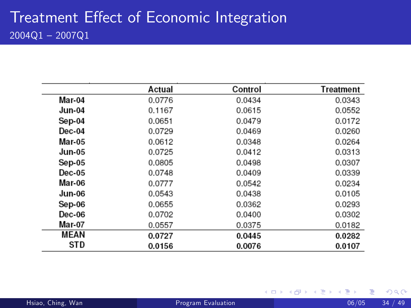|               | Actual | Control | Treatment |
|---------------|--------|---------|-----------|
| Mar-04        | 0.0776 | 0.0434  | 0.0343    |
| Jun-04        | 0.1167 | 0.0615  | 0.0552    |
| Sep-04        | 0.0651 | 0.0479  | 0.0172    |
| Dec-04        | 0.0729 | 0.0469  | 0.0260    |
| Mar-05        | 0.0612 | 0.0348  | 0.0264    |
| <b>Jun-05</b> | 0.0725 | 0.0412  | 0.0313    |
| Sep-05        | 0.0805 | 0.0498  | 0.0307    |
| $Dec-05$      | 0.0748 | 0.0409  | 0.0339    |
| Mar-06        | 0.0777 | 0.0542  | 0.0234    |
| Jun-06        | 0.0543 | 0.0438  | 0.0105    |
| Sep-06        | 0.0655 | 0.0362  | 0.0293    |
| Dec-06        | 0.0702 | 0.0400  | 0.0302    |
| Mar-07        | 0.0557 | 0.0375  | 0.0182    |
| MEAN          | 0.0727 | 0.0445  | 0.0282    |
| STD           | 0.0156 | 0.0076  | 0.0107    |

э

 $4$  ロ }  $4$   $4$   $9$  }  $4$   $\equiv$  }  $-4$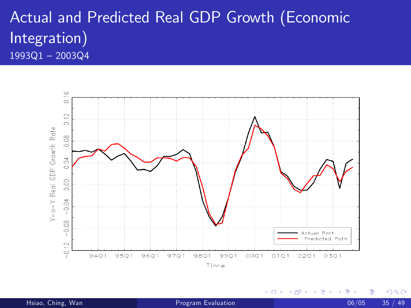#### Actual and Predicted Real GDP Growth (Economic Integration)  $1993Q1 - 2003Q4$



4 0 8

э

 $QQ$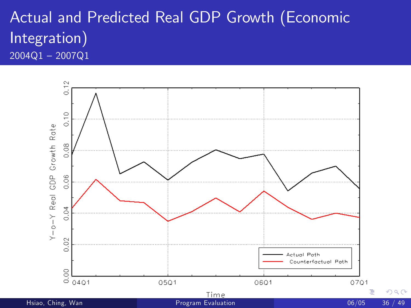#### Actual and Predicted Real GDP Growth (Economic Integration)  $2004Q1 - 2007Q1$

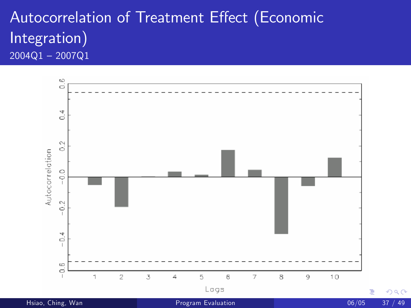#### Autocorrelation of Treatment Effect (Economic Integration)  $2004Q1 - 2007Q1$

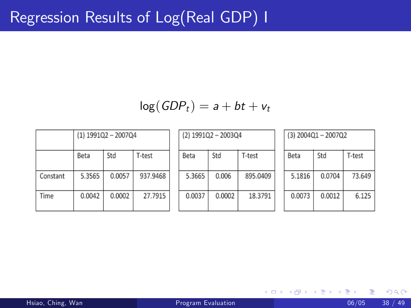#### $log(GDP<sub>t</sub>) = a + bt + v<sub>t</sub>$

|          | (1) 1991Q2 - 2007Q4 |        |          |  |  |  |  |  |  |
|----------|---------------------|--------|----------|--|--|--|--|--|--|
|          | Beta                | Std    | T-test   |  |  |  |  |  |  |
| Constant | 5.3565              | 0.0057 | 937.9468 |  |  |  |  |  |  |
| Time     | 0.0042              | 0.0002 | 27.7915  |  |  |  |  |  |  |

| (2) 1991Q2 - 2003Q4 |        |          |  |  |  |  |  |  |  |
|---------------------|--------|----------|--|--|--|--|--|--|--|
| Beta                | Std    | T-test   |  |  |  |  |  |  |  |
| 5.3665              | 0.006  | 895.0409 |  |  |  |  |  |  |  |
| 0.0037              | 0.0002 | 18.3791  |  |  |  |  |  |  |  |

| (3) 2004Q1-2007Q2 |        |        |  |  |  |  |  |  |
|-------------------|--------|--------|--|--|--|--|--|--|
| Beta              | Std    | T-test |  |  |  |  |  |  |
| 5.1816            | 0.0704 | 73.649 |  |  |  |  |  |  |
| 0.0073            | 0.0012 | 6.125  |  |  |  |  |  |  |

イロト イ押ト イヨト イヨ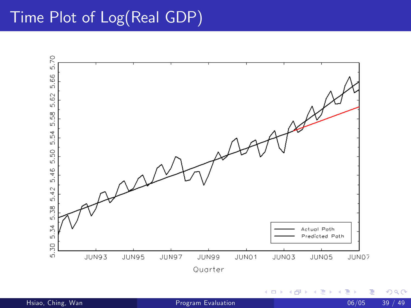## Time Plot of Log(Real GDP)

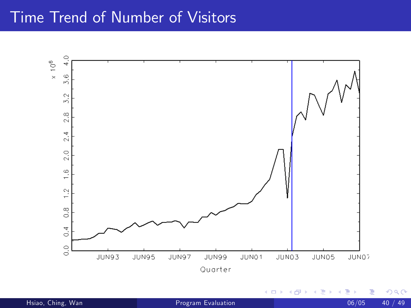#### Time Trend of Number of Visitors



4 0 8 K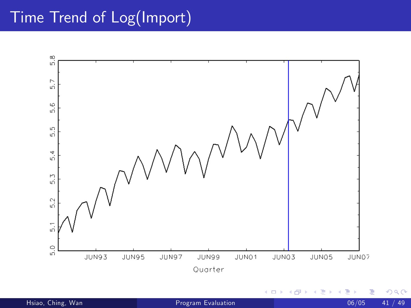## Time Trend of Log(Import)

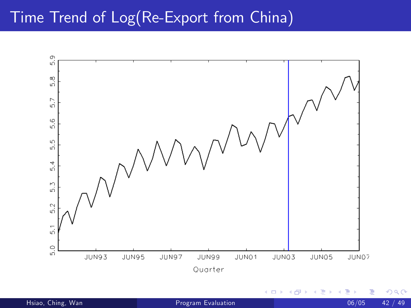## Time Trend of Log(Re-Export from China)

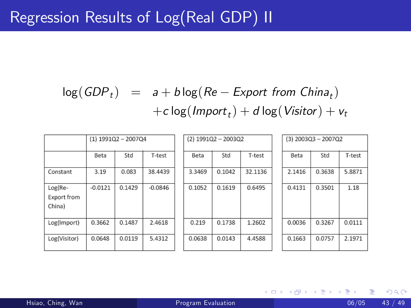# $log(GDP_t) = a + b \log(Re - E$ xport from China<sub>t</sub>)  $+c \log ($ Impor $t_t) + d \log (V$ isitor $) + v_t$

|                                  | $(1)$ 1991Q2 - 2007Q4 |        |           | $(2)$ 1991Q2 - 2003Q2 |        |        |         |  | $(3)$ 2003Q3 - 2007Q2 |        |        |
|----------------------------------|-----------------------|--------|-----------|-----------------------|--------|--------|---------|--|-----------------------|--------|--------|
|                                  | Beta                  | Std    | T-test    |                       | Beta   | Std    | T-test  |  | Beta                  | Std    | T-test |
| Constant                         | 3.19                  | 0.083  | 38.4439   |                       | 3.3469 | 0.1042 | 32.1136 |  | 2.1416                | 0.3638 | 5.8871 |
| Log(Re-<br>Export from<br>China) | $-0.0121$             | 0.1429 | $-0.0846$ |                       | 0.1052 | 0.1619 | 0.6495  |  | 0.4131                | 0.3501 | 1.18   |
| Log(Import)                      | 0.3662                | 0.1487 | 2.4618    |                       | 0.219  | 0.1738 | 1.2602  |  | 0.0036                | 0.3267 | 0.0111 |
| Log(Visitor)                     | 0.0648                | 0.0119 | 5.4312    |                       | 0.0638 | 0.0143 | 4.4588  |  | 0.1663                | 0.0757 | 2.1971 |

メロト メ団 トメ きトメ 毛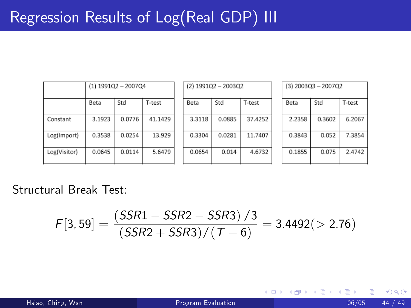|              | $(1)$ 1991Q2 - 2007Q4 |        |         | $(2)$ 1991Q2 - 2003Q2 |        |         |  |        | $(3)$ 2003Q3 - 2007Q2 |        |
|--------------|-----------------------|--------|---------|-----------------------|--------|---------|--|--------|-----------------------|--------|
|              | Beta                  | Std    | T-test  | Beta                  | Std    | T-test  |  | Beta   | Std                   | T-test |
| Constant     | 3.1923                | 0.0776 | 41.1429 | 3.3118                | 0.0885 | 37.4252 |  | 2.2358 | 0.3602                | 6.2067 |
| Log(Import)  | 0.3538                | 0.0254 | 13.929  | 0.3304                | 0.0281 | 11.7407 |  | 0.3843 | 0.052                 | 7.3854 |
| Log(Visitor) | 0.0645                | 0.0114 | 5.6479  | 0.0654                | 0.014  | 4.6732  |  | 0.1855 | 0.075                 | 2.4742 |

Structural Break Test:

$$
\mathcal{F}[3,59] = \frac{(SSR1 - SSR2 - SSR3)/3}{(SSR2 + SSR3)/(T - 6)} = 3.4492(>2.76)
$$

**∢ ロ ▶ ィ 何** 

 $\rightarrow$ 

×.

E kirk э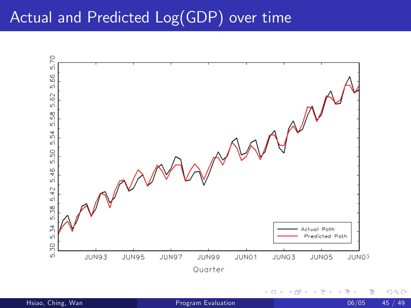## Actual and Predicted Log(GDP) over time

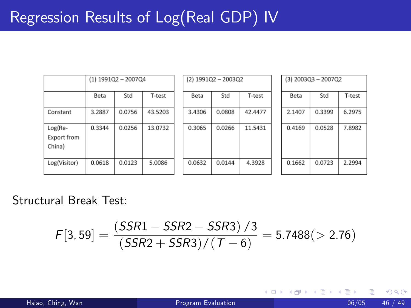|                                  | $(1)$ 1991Q2 - 2007Q4 |        |         | $(2)$ 1991Q2 - 2003Q2 |        |         |  | $(3)$ 2003Q3 - 2007Q2 |        |        |  |
|----------------------------------|-----------------------|--------|---------|-----------------------|--------|---------|--|-----------------------|--------|--------|--|
|                                  | Beta                  | Std    | T-test  | Beta                  | Std    | T-test  |  | Beta                  | Std    | T-test |  |
| Constant                         | 3.2887                | 0.0756 | 43.5203 | 3.4306                | 0.0808 | 42.4477 |  | 2.1407                | 0.3399 | 6.2975 |  |
| Log(Re-<br>Export from<br>China) | 0.3344                | 0.0256 | 13.0732 | 0.3065                | 0.0266 | 11.5431 |  | 0.4169                | 0.0528 | 7.8982 |  |
| Log(Visitor)                     | 0.0618                | 0.0123 | 5.0086  | 0.0632                | 0.0144 | 4.3928  |  | 0.1662                | 0.0723 | 2.2994 |  |

Structural Break Test:

$$
F[3,59] = \frac{(SSR1 - SSR2 - SSR3)/3}{(SSR2 + SSR3)/(T - 6)} = 5.7488(> 2.76)
$$

**← ロ ▶ → イ 同** 

 $\rightarrow$ 

 $|b| = 4$ э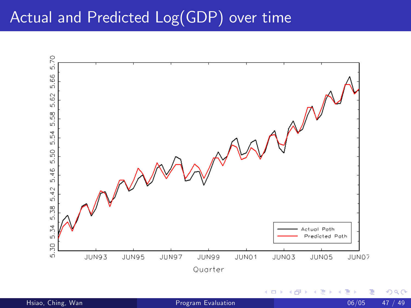## Actual and Predicted Log(GDP) over time

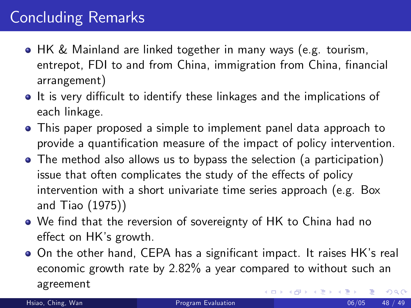# Concluding Remarks

- HK & Mainland are linked together in many ways (e.g. tourism, entrepot, FDI to and from China, immigration from China, financial arrangement)
- It is very difficult to identify these linkages and the implications of each linkage.
- This paper proposed a simple to implement panel data approach to provide a quantification measure of the impact of policy intervention.
- The method also allows us to bypass the selection (a participation) issue that often complicates the study of the effects of policy intervention with a short univariate time series approach (e.g. Box and Tiao (1975))
- We find that the reversion of sovereignty of HK to China had no effect on HK's growth.
- On the other hand, CEPA has a significant impact. It raises HK's real economic growth rate by 2.82% a year compared to without such an agreement 4 0 8  $\Omega$